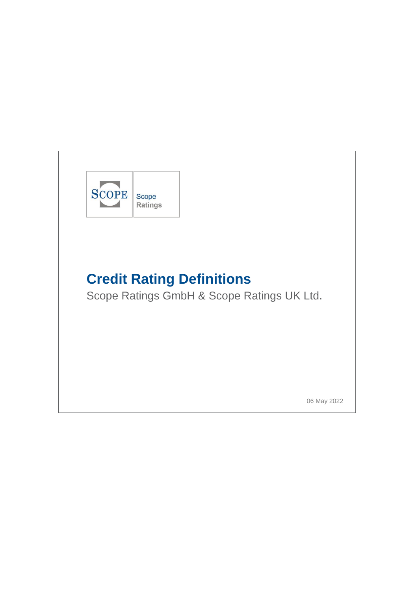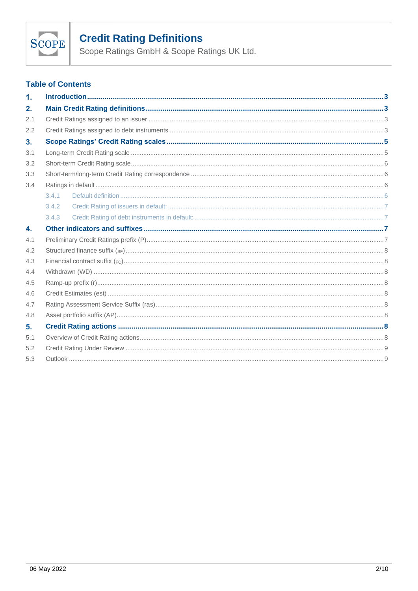

Scope Ratings GmbH & Scope Ratings UK Ltd.

# **Table of Contents**

| $\mathbf{1}$ . |       |  |  |  |
|----------------|-------|--|--|--|
| 2.             |       |  |  |  |
| 2.1            |       |  |  |  |
| 2.2            |       |  |  |  |
| 3.             |       |  |  |  |
| 3.1            |       |  |  |  |
| 3.2            |       |  |  |  |
| 3.3            |       |  |  |  |
| 3.4            |       |  |  |  |
|                | 3.4.1 |  |  |  |
|                | 3.4.2 |  |  |  |
|                | 3.4.3 |  |  |  |
| 4.             |       |  |  |  |
| 4.1            |       |  |  |  |
| 4.2            |       |  |  |  |
| 4.3            |       |  |  |  |
| 4.4            |       |  |  |  |
| 4.5            |       |  |  |  |
| 4.6            |       |  |  |  |
| 4.7            |       |  |  |  |
| 4.8            |       |  |  |  |
| 5.             |       |  |  |  |
| 5.1            |       |  |  |  |
| 5.2            |       |  |  |  |
| 5.3            |       |  |  |  |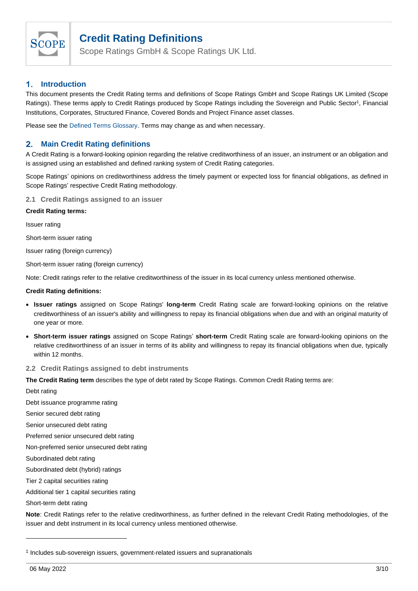

Scope Ratings GmbH & Scope Ratings UK Ltd.

#### <span id="page-2-0"></span> $\mathbf{1}$ . **Introduction**

This document presents the Credit Rating terms and definitions of Scope Ratings GmbH and Scope Ratings UK Limited (Scope Ratings). These terms apply to Credit Ratings produced by Scope Ratings including the Sovereign and Public Sector<sup>1</sup>, Financial Institutions, Corporates, Structured Finance, Covered Bonds and Project Finance asset classes.

Please see the [Defined Terms Glossary.](https://scoperatings.com/dam/jcr:a61edcf6-8262-4db3-81fc-0d93ac6ec632/ScopeGroup_Defined_Terms_Glossary.pdf) Terms may change as and when necessary.

#### <span id="page-2-1"></span> $2.$ **Main Credit Rating definitions**

A Credit Rating is a forward-looking opinion regarding the relative creditworthiness of an issuer, an instrument or an obligation and is assigned using an established and defined ranking system of Credit Rating categories.

Scope Ratings' opinions on creditworthiness address the timely payment or expected loss for financial obligations, as defined in Scope Ratings' respective Credit Rating methodology.

<span id="page-2-2"></span>**2.1 Credit Ratings assigned to an issuer**

## **Credit Rating terms:**

Issuer rating

Short-term issuer rating

Issuer rating (foreign currency)

Short-term issuer rating (foreign currency)

Note: Credit ratings refer to the relative creditworthiness of the issuer in its local currency unless mentioned otherwise.

### **Credit Rating definitions:**

- **Issuer ratings** assigned on Scope Ratings' **long-term** Credit Rating scale are forward-looking opinions on the relative creditworthiness of an issuer's ability and willingness to repay its financial obligations when due and with an original maturity of one year or more.
- **Short-term issuer ratings** assigned on Scope Ratings' **short-term** Credit Rating scale are forward-looking opinions on the relative creditworthiness of an issuer in terms of its ability and willingness to repay its financial obligations when due, typically within 12 months.

### <span id="page-2-3"></span>**2.2 Credit Ratings assigned to debt instruments**

**The Credit Rating term** describes the type of debt rated by Scope Ratings. Common Credit Rating terms are:

Debt rating

Debt issuance programme rating

Senior secured debt rating

Senior unsecured debt rating

Preferred senior unsecured debt rating

Non-preferred senior unsecured debt rating

Subordinated debt rating

Subordinated debt (hybrid) ratings

Tier 2 capital securities rating

Additional tier 1 capital securities rating

Short-term debt rating

**Note**: Credit Ratings refer to the relative creditworthiness, as further defined in the relevant Credit Rating methodologies, of the issuer and debt instrument in its local currency unless mentioned otherwise.

<sup>&</sup>lt;sup>1</sup> Includes sub-sovereign issuers, government-related issuers and supranationals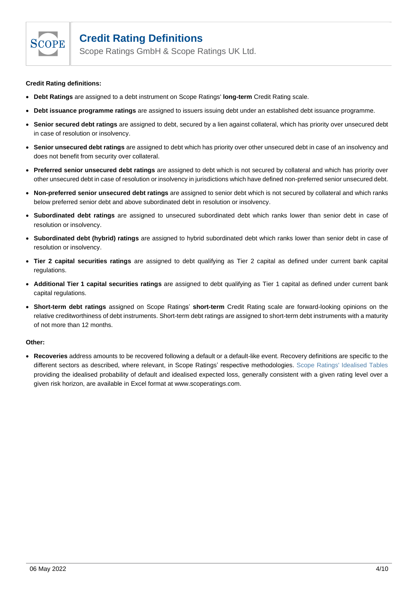

Scope Ratings GmbH & Scope Ratings UK Ltd.

## **Credit Rating definitions:**

- **Debt Ratings** are assigned to a debt instrument on Scope Ratings' **long-term** Credit Rating scale.
- **Debt issuance programme ratings** are assigned to issuers issuing debt under an established debt issuance programme.
- **Senior secured debt ratings** are assigned to debt, secured by a lien against collateral, which has priority over unsecured debt in case of resolution or insolvency.
- **Senior unsecured debt ratings** are assigned to debt which has priority over other unsecured debt in case of an insolvency and does not benefit from security over collateral.
- **Preferred senior unsecured debt ratings** are assigned to debt which is not secured by collateral and which has priority over other unsecured debt in case of resolution or insolvency in jurisdictions which have defined non-preferred senior unsecured debt.
- **Non-preferred senior unsecured debt ratings** are assigned to senior debt which is not secured by collateral and which ranks below preferred senior debt and above subordinated debt in resolution or insolvency.
- **Subordinated debt ratings** are assigned to unsecured subordinated debt which ranks lower than senior debt in case of resolution or insolvency.
- **Subordinated debt (hybrid) ratings** are assigned to hybrid subordinated debt which ranks lower than senior debt in case of resolution or insolvency.
- **Tier 2 capital securities ratings** are assigned to debt qualifying as Tier 2 capital as defined under current bank capital regulations.
- **Additional Tier 1 capital securities ratings** are assigned to debt qualifying as Tier 1 capital as defined under current bank capital regulations.
- **Short-term debt ratings** assigned on Scope Ratings' **short-term** Credit Rating scale are forward-looking opinions on the relative creditworthiness of debt instruments. Short-term debt ratings are assigned to short-term debt instruments with a maturity of not more than 12 months.

## **Other:**

• **Recoveries** address amounts to be recovered following a default or a default-like event. Recovery definitions are specific to the different sectors as described, where relevant, in Scope Ratings' respective methodologies. Scope Ratings' Idealised Tables providing the idealised probability of default and idealised expected loss, generally consistent with a given rating level over a given risk horizon, are available in Excel format at www.scoperatings.com.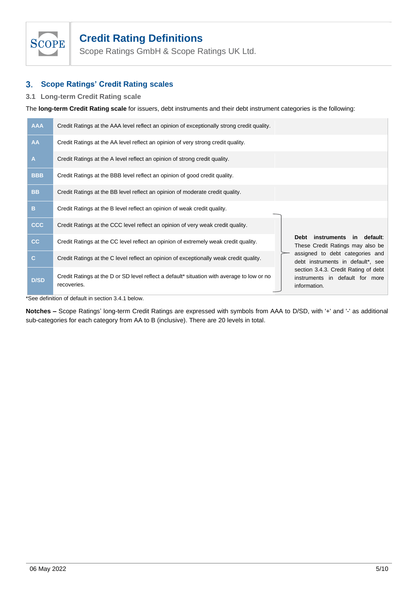

Scope Ratings GmbH & Scope Ratings UK Ltd.

#### <span id="page-4-0"></span> $3.$ **Scope Ratings' Credit Rating scales**

# <span id="page-4-1"></span>**3.1 Long-term Credit Rating scale**

The **long-term Credit Rating scale** for issuers, debt instruments and their debt instrument categories is the following:

| <b>AAA</b>   | Credit Ratings at the AAA level reflect an opinion of exceptionally strong credit quality.                |                                                                                         |
|--------------|-----------------------------------------------------------------------------------------------------------|-----------------------------------------------------------------------------------------|
| AA           | Credit Ratings at the AA level reflect an opinion of very strong credit quality.                          |                                                                                         |
| A            | Credit Ratings at the A level reflect an opinion of strong credit quality.                                |                                                                                         |
| <b>BBB</b>   | Credit Ratings at the BBB level reflect an opinion of good credit quality.                                |                                                                                         |
| <b>BB</b>    | Credit Ratings at the BB level reflect an opinion of moderate credit quality.                             |                                                                                         |
| B            | Credit Ratings at the B level reflect an opinion of weak credit quality.                                  |                                                                                         |
| <b>CCC</b>   | Credit Ratings at the CCC level reflect an opinion of very weak credit quality.                           |                                                                                         |
| cc           | Credit Ratings at the CC level reflect an opinion of extremely weak credit quality.                       | instruments in default:<br>Debt<br>These Credit Ratings may also be                     |
| $\mathbf{C}$ | Credit Ratings at the C level reflect an opinion of exceptionally weak credit quality.                    | assigned to debt categories and<br>debt instruments in default*, see                    |
| <b>D/SD</b>  | Credit Ratings at the D or SD level reflect a default* situation with average to low or no<br>recoveries. | section 3.4.3. Credit Rating of debt<br>instruments in default for more<br>information. |

\*See definition of default in section 3.4.1 below.

**Notches –** Scope Ratings' long-term Credit Ratings are expressed with symbols from AAA to D/SD, with '+' and '-' as additional sub-categories for each category from AA to B (inclusive). There are 20 levels in total.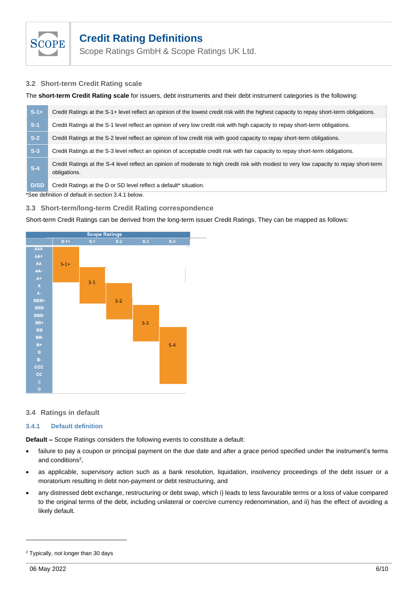

Scope Ratings GmbH & Scope Ratings UK Ltd.

# <span id="page-5-0"></span>**3.2 Short-term Credit Rating scale**

The **short-term Credit Rating scale** for issuers, debt instruments and their debt instrument categories is the following:

| $S-1+1$ | Credit Ratings at the S-1+ level reflect an opinion of the lowest credit risk with the highest capacity to repay short-term obligations.                |  |
|---------|---------------------------------------------------------------------------------------------------------------------------------------------------------|--|
| $S-1$   | Credit Ratings at the S-1 level reflect an opinion of very low credit risk with high capacity to repay short-term obligations.                          |  |
| $S-2$   | Credit Ratings at the S-2 level reflect an opinion of low credit risk with good capacity to repay short-term obligations.                               |  |
| $S-3$   | Credit Ratings at the S-3 level reflect an opinion of acceptable credit risk with fair capacity to repay short-term obligations.                        |  |
| $S-4$   | Credit Ratings at the S-4 level reflect an opinion of moderate to high credit risk with modest to very low capacity to repay short-term<br>obligations. |  |
|         |                                                                                                                                                         |  |

**D/SD** Credit Ratings at the D or SD level reflect a default\* situation.

\*See definition of default in section 3.4.1 below.

# <span id="page-5-1"></span>**3.3 Short-term/long-term Credit Rating correspondence**

Short-term Credit Ratings can be derived from the long-term issuer Credit Ratings. They can be mapped as follows:



## <span id="page-5-2"></span>**3.4 Ratings in default**

## <span id="page-5-3"></span>**3.4.1 Default definition**

**Default –** Scope Ratings considers the following events to constitute a default:

- failure to pay a coupon or principal payment on the due date and after a grace period specified under the instrument's terms and conditions<sup>2</sup>,
- as applicable, supervisory action such as a bank resolution, liquidation, insolvency proceedings of the debt issuer or a moratorium resulting in debt non-payment or debt restructuring, and
- any distressed debt exchange, restructuring or debt swap, which i) leads to less favourable terms or a loss of value compared to the original terms of the debt, including unilateral or coercive currency redenomination, and ii) has the effect of avoiding a likely default.

<sup>2</sup> Typically, not longer than 30 days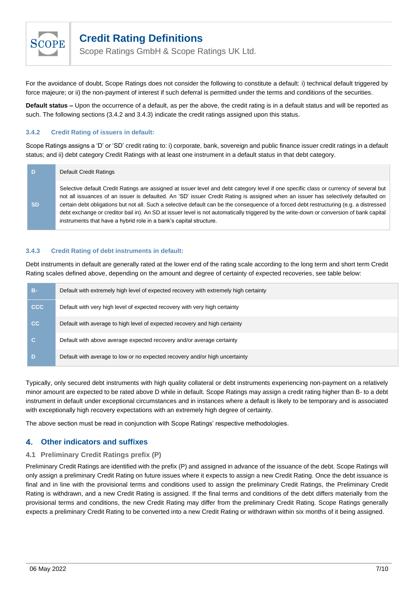

Scope Ratings GmbH & Scope Ratings UK Ltd.

For the avoidance of doubt, Scope Ratings does not consider the following to constitute a default: i) technical default triggered by force majeure; or ii) the non-payment of interest if such deferral is permitted under the terms and conditions of the securities.

**Default status –** Upon the occurrence of a default, as per the above, the credit rating is in a default status and will be reported as such. The following sections (3.4.2 and 3.4.3) indicate the credit ratings assigned upon this status.

# <span id="page-6-0"></span>**3.4.2 Credit Rating of issuers in default:**

Scope Ratings assigns a 'D' or 'SD' credit rating to: i) corporate, bank, sovereign and public finance issuer credit ratings in a default status; and ii) debt category Credit Ratings with at least one instrument in a default status in that debt category.

| D         | Default Credit Ratings                                                                                                                                                                                                                                                                                                                                                                                                                                                                                                                                                                                                                   |
|-----------|------------------------------------------------------------------------------------------------------------------------------------------------------------------------------------------------------------------------------------------------------------------------------------------------------------------------------------------------------------------------------------------------------------------------------------------------------------------------------------------------------------------------------------------------------------------------------------------------------------------------------------------|
| <b>SD</b> | Selective default Credit Ratings are assigned at issuer level and debt category level if one specific class or currency of several but<br>not all issuances of an issuer is defaulted. An 'SD' issuer Credit Rating is assigned when an issuer has selectively defaulted on<br>certain debt obligations but not all. Such a selective default can be the consequence of a forced debt restructuring (e.g. a distressed<br>debt exchange or creditor bail in). An SD at issuer level is not automatically triggered by the write-down or conversion of bank capital<br>instruments that have a hybrid role in a bank's capital structure. |

### <span id="page-6-1"></span>**3.4.3 Credit Rating of debt instruments in default:**

Debt instruments in default are generally rated at the lower end of the rating scale according to the long term and short term Credit Rating scales defined above, depending on the amount and degree of certainty of expected recoveries, see table below:

| в-         | Default with extremely high level of expected recovery with extremely high certainty |
|------------|--------------------------------------------------------------------------------------|
| <b>CCC</b> | Default with very high level of expected recovery with very high certainty           |
| cc         | Default with average to high level of expected recovery and high certainty           |
|            | Default with above average expected recovery and/or average certainty                |
|            | Default with average to low or no expected recovery and/or high uncertainty          |

Typically, only secured debt instruments with high quality collateral or debt instruments experiencing non-payment on a relatively minor amount are expected to be rated above D while in default. Scope Ratings may assign a credit rating higher than B- to a debt instrument in default under exceptional circumstances and in instances where a default is likely to be temporary and is associated with exceptionally high recovery expectations with an extremely high degree of certainty.

The above section must be read in conjunction with Scope Ratings' respective methodologies.

#### <span id="page-6-2"></span>**Other indicators and suffixes** 4.

## <span id="page-6-3"></span>**4.1 Preliminary Credit Ratings prefix (P)**

Preliminary Credit Ratings are identified with the prefix (P) and assigned in advance of the issuance of the debt. Scope Ratings will only assign a preliminary Credit Rating on future issues where it expects to assign a new Credit Rating. Once the debt issuance is final and in line with the provisional terms and conditions used to assign the preliminary Credit Ratings, the Preliminary Credit Rating is withdrawn, and a new Credit Rating is assigned. If the final terms and conditions of the debt differs materially from the provisional terms and conditions, the new Credit Rating may differ from the preliminary Credit Rating. Scope Ratings generally expects a preliminary Credit Rating to be converted into a new Credit Rating or withdrawn within six months of it being assigned.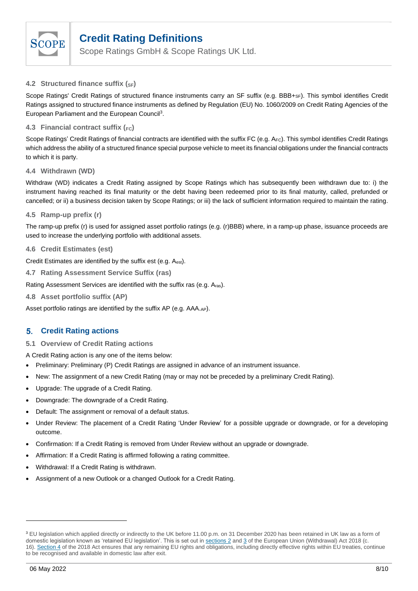

Scope Ratings GmbH & Scope Ratings UK Ltd.

# <span id="page-7-0"></span>**4.2 Structured finance suffix (SF)**

Scope Ratings' Credit Ratings of structured finance instruments carry an SF suffix (e.g. BBB+<sub>SF</sub>). This symbol identifies Credit Ratings assigned to structured finance instruments as defined by Regulation (EU) No. 1060/2009 on Credit Rating Agencies of the European Parliament and the European Council<sup>3</sup>.

# <span id="page-7-1"></span>**4.3 Financial contract suffix (FC)**

Scope Ratings' Credit Ratings of financial contracts are identified with the suffix FC (e.g. AFC). This symbol identifies Credit Ratings which address the ability of a structured finance special purpose vehicle to meet its financial obligations under the financial contracts to which it is party.

# <span id="page-7-2"></span>**4.4 Withdrawn (WD)**

Withdraw (WD) indicates a Credit Rating assigned by Scope Ratings which has subsequently been withdrawn due to: i) the instrument having reached its final maturity or the debt having been redeemed prior to its final maturity, called, prefunded or cancelled; or ii) a business decision taken by Scope Ratings; or iii) the lack of sufficient information required to maintain the rating.

# <span id="page-7-3"></span>**4.5 Ramp-up prefix (r)**

The ramp-up prefix (r) is used for assigned asset portfolio ratings (e.g. (r)BBB) where, in a ramp-up phase, issuance proceeds are used to increase the underlying portfolio with additional assets.

## <span id="page-7-4"></span>**4.6 Credit Estimates (est)**

Credit Estimates are identified by the suffix est (e.g. Aest).

<span id="page-7-5"></span>**4.7 Rating Assessment Service Suffix (ras)**

Rating Assessment Services are identified with the suffix ras (e.g. Aras).

<span id="page-7-6"></span>**4.8 Asset portfolio suffix (AP)**

Asset portfolio ratings are identified by the suffix AP (e.g. AAA.AP).

#### <span id="page-7-7"></span>**Credit Rating actions** 5.

<span id="page-7-8"></span>**5.1 Overview of Credit Rating actions**

- A Credit Rating action is any one of the items below:
- Preliminary: Preliminary (P) Credit Ratings are assigned in advance of an instrument issuance.
- New: The assignment of a new Credit Rating (may or may not be preceded by a preliminary Credit Rating).
- Upgrade: The upgrade of a Credit Rating.
- Downgrade: The downgrade of a Credit Rating.
- Default: The assignment or removal of a default status.
- Under Review: The placement of a Credit Rating 'Under Review' for a possible upgrade or downgrade, or for a developing outcome.
- Confirmation: If a Credit Rating is removed from Under Review without an upgrade or downgrade.
- Affirmation: If a Credit Rating is affirmed following a rating committee.
- Withdrawal: If a Credit Rating is withdrawn.
- Assignment of a new Outlook or a changed Outlook for a Credit Rating.

<sup>&</sup>lt;sup>3</sup> EU legislation which applied directly or indirectly to the UK before 11.00 p.m. on 31 December 2020 has been retained in UK law as a form of domestic legislation known as 'retained EU legislation'. This is set out in [sections 2](https://www.legislation.gov.uk/ukpga/2018/16/section/2) and [3](https://www.legislation.gov.uk/ukpga/2018/16/section/3) of the European Union (Withdrawal) Act 2018 (c. 16). [Section 4](https://www.legislation.gov.uk/ukpga/2018/16/section/4) of the 2018 Act ensures that any remaining EU rights and obligations, including directly effective rights within EU treaties, continue to be recognised and available in domestic law after exit.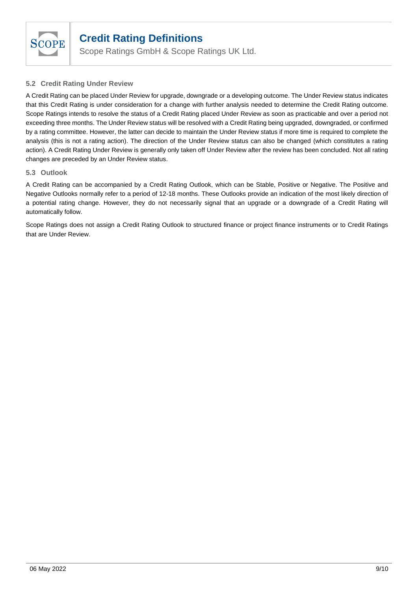

Scope Ratings GmbH & Scope Ratings UK Ltd.

# <span id="page-8-0"></span>**5.2 Credit Rating Under Review**

A Credit Rating can be placed Under Review for upgrade, downgrade or a developing outcome. The Under Review status indicates that this Credit Rating is under consideration for a change with further analysis needed to determine the Credit Rating outcome. Scope Ratings intends to resolve the status of a Credit Rating placed Under Review as soon as practicable and over a period not exceeding three months. The Under Review status will be resolved with a Credit Rating being upgraded, downgraded, or confirmed by a rating committee. However, the latter can decide to maintain the Under Review status if more time is required to complete the analysis (this is not a rating action). The direction of the Under Review status can also be changed (which constitutes a rating action). A Credit Rating Under Review is generally only taken off Under Review after the review has been concluded. Not all rating changes are preceded by an Under Review status.

# <span id="page-8-1"></span>**5.3 Outlook**

A Credit Rating can be accompanied by a Credit Rating Outlook, which can be Stable, Positive or Negative. The Positive and Negative Outlooks normally refer to a period of 12-18 months. These Outlooks provide an indication of the most likely direction of a potential rating change. However, they do not necessarily signal that an upgrade or a downgrade of a Credit Rating will automatically follow.

Scope Ratings does not assign a Credit Rating Outlook to structured finance or project finance instruments or to Credit Ratings that are Under Review.